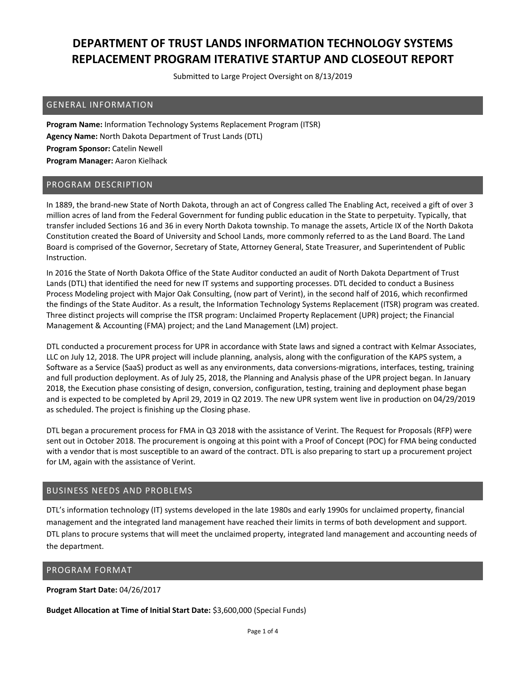Submitted to Large Project Oversight on 8/13/2019

#### GENERAL INFORMATION

**Program Name:** Information Technology Systems Replacement Program (ITSR) **Agency Name:** North Dakota Department of Trust Lands (DTL) **Program Sponsor:** Catelin Newell **Program Manager:** Aaron Kielhack

### PROGRAM DESCRIPTION

In 1889, the brand‐new State of North Dakota, through an act of Congress called The Enabling Act, received a gift of over 3 million acres of land from the Federal Government for funding public education in the State to perpetuity. Typically, that transfer included Sections 16 and 36 in every North Dakota township. To manage the assets, Article IX of the North Dakota Constitution created the Board of University and School Lands, more commonly referred to as the Land Board. The Land Board is comprised of the Governor, Secretary of State, Attorney General, State Treasurer, and Superintendent of Public Instruction.

In 2016 the State of North Dakota Office of the State Auditor conducted an audit of North Dakota Department of Trust Lands (DTL) that identified the need for new IT systems and supporting processes. DTL decided to conduct a Business Process Modeling project with Major Oak Consulting, (now part of Verint), in the second half of 2016, which reconfirmed the findings of the State Auditor. As a result, the Information Technology Systems Replacement (ITSR) program was created. Three distinct projects will comprise the ITSR program: Unclaimed Property Replacement (UPR) project; the Financial Management & Accounting (FMA) project; and the Land Management (LM) project.

DTL conducted a procurement process for UPR in accordance with State laws and signed a contract with Kelmar Associates, LLC on July 12, 2018. The UPR project will include planning, analysis, along with the configuration of the KAPS system, a Software as a Service (SaaS) product as well as any environments, data conversions‐migrations, interfaces, testing, training and full production deployment. As of July 25, 2018, the Planning and Analysis phase of the UPR project began. In January 2018, the Execution phase consisting of design, conversion, configuration, testing, training and deployment phase began and is expected to be completed by April 29, 2019 in Q2 2019. The new UPR system went live in production on 04/29/2019 as scheduled. The project is finishing up the Closing phase.

DTL began a procurement process for FMA in Q3 2018 with the assistance of Verint. The Request for Proposals (RFP) were sent out in October 2018. The procurement is ongoing at this point with a Proof of Concept (POC) for FMA being conducted with a vendor that is most susceptible to an award of the contract. DTL is also preparing to start up a procurement project for LM, again with the assistance of Verint.

#### BUSINESS NEEDS AND PROBLEMS

DTL's information technology (IT) systems developed in the late 1980s and early 1990s for unclaimed property, financial management and the integrated land management have reached their limits in terms of both development and support. DTL plans to procure systems that will meet the unclaimed property, integrated land management and accounting needs of the department.

#### PROGRAM FORMAT

**Program Start Date:** 04/26/2017

**Budget Allocation at Time of Initial Start Date:** \$3,600,000 (Special Funds)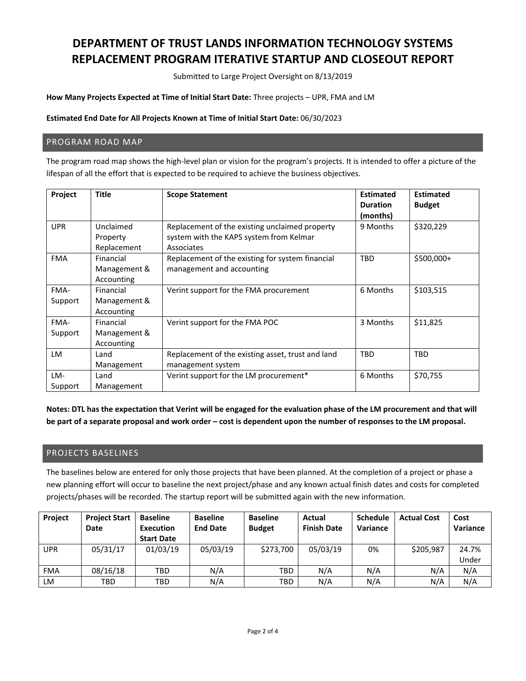Submitted to Large Project Oversight on 8/13/2019

**How Many Projects Expected at Time of Initial Start Date:** Three projects – UPR, FMA and LM

#### **Estimated End Date for All Projects Known at Time of Initial Start Date:** 06/30/2023

#### PROGRAM ROAD MAP

The program road map shows the high‐level plan or vision for the program's projects. It is intended to offer a picture of the lifespan of all the effort that is expected to be required to achieve the business objectives.

| Project         | Title                                   | <b>Scope Statement</b>                                                                                  | <b>Estimated</b><br><b>Duration</b><br>(months) | <b>Estimated</b><br><b>Budget</b> |
|-----------------|-----------------------------------------|---------------------------------------------------------------------------------------------------------|-------------------------------------------------|-----------------------------------|
| <b>UPR</b>      | Unclaimed<br>Property<br>Replacement    | Replacement of the existing unclaimed property<br>system with the KAPS system from Kelmar<br>Associates | 9 Months                                        | \$320,229                         |
| <b>FMA</b>      | Financial<br>Management &<br>Accounting | Replacement of the existing for system financial<br>management and accounting                           | <b>TBD</b>                                      | \$500,000+                        |
| FMA-<br>Support | Financial<br>Management &<br>Accounting | Verint support for the FMA procurement                                                                  | 6 Months                                        | \$103,515                         |
| FMA-<br>Support | Financial<br>Management &<br>Accounting | Verint support for the FMA POC                                                                          | 3 Months                                        | \$11,825                          |
| <b>LM</b>       | Land<br>Management                      | Replacement of the existing asset, trust and land<br>management system                                  | <b>TBD</b>                                      | <b>TBD</b>                        |
| LM-<br>Support  | Land<br>Management                      | Verint support for the LM procurement*                                                                  | 6 Months                                        | \$70,755                          |

Notes: DTL has the expectation that Verint will be engaged for the evaluation phase of the LM procurement and that will be part of a separate proposal and work order – cost is dependent upon the number of responses to the LM proposal.

#### PROJECTS BASELINES

The baselines below are entered for only those projects that have been planned. At the completion of a project or phase a new planning effort will occur to baseline the next project/phase and any known actual finish dates and costs for completed projects/phases will be recorded. The startup report will be submitted again with the new information.

| Project    | <b>Project Start</b><br>Date | <b>Baseline</b><br>Execution<br><b>Start Date</b> | <b>Baseline</b><br><b>End Date</b> | <b>Baseline</b><br><b>Budget</b> | Actual<br><b>Finish Date</b> | <b>Schedule</b><br>Variance | <b>Actual Cost</b> | Cost<br>Variance |
|------------|------------------------------|---------------------------------------------------|------------------------------------|----------------------------------|------------------------------|-----------------------------|--------------------|------------------|
| <b>UPR</b> | 05/31/17                     | 01/03/19                                          | 05/03/19                           | \$273,700                        | 05/03/19                     | 0%                          | \$205,987          | 24.7%            |
|            |                              |                                                   |                                    |                                  |                              |                             |                    | Under            |
| <b>FMA</b> | 08/16/18                     | <b>TBD</b>                                        | N/A                                | TBD                              | N/A                          | N/A                         | N/A                | N/A              |
| LM         | TBD                          | TBD                                               | N/A                                | TBD                              | N/A                          | N/A                         | N/A                | N/A              |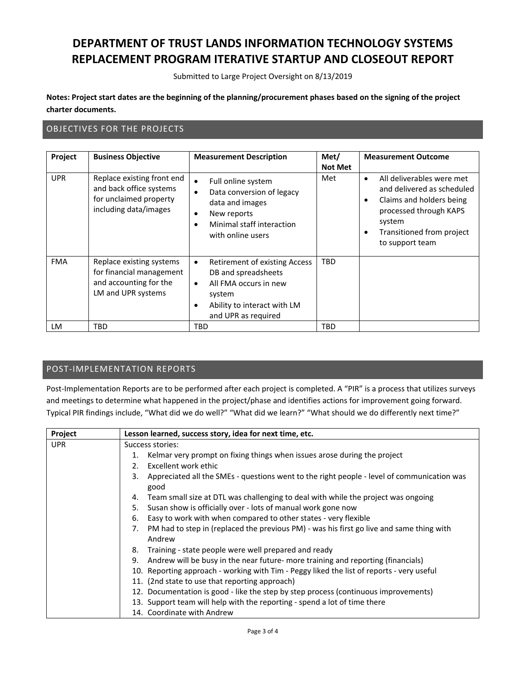Submitted to Large Project Oversight on 8/13/2019

Notes: Project start dates are the beginning of the planning/procurement phases based on the signing of the project **charter documents.**

### OBJECTIVES FOR THE PROJECTS

| Project    | <b>Business Objective</b>                                                                                | <b>Measurement Description</b>                                                                                                                                          | Met/<br><b>Not Met</b> | <b>Measurement Outcome</b>                                                                                                                                                                                     |
|------------|----------------------------------------------------------------------------------------------------------|-------------------------------------------------------------------------------------------------------------------------------------------------------------------------|------------------------|----------------------------------------------------------------------------------------------------------------------------------------------------------------------------------------------------------------|
| <b>UPR</b> | Replace existing front end<br>and back office systems<br>for unclaimed property<br>including data/images | Full online system<br>$\bullet$<br>Data conversion of legacy<br>data and images<br>New reports<br>٠<br>Minimal staff interaction<br>with online users                   | Met                    | All deliverables were met<br>$\bullet$<br>and delivered as scheduled<br>Claims and holders being<br>$\bullet$<br>processed through KAPS<br>system<br>Transitioned from project<br>$\bullet$<br>to support team |
| <b>FMA</b> | Replace existing systems<br>for financial management<br>and accounting for the<br>LM and UPR systems     | Retirement of existing Access<br>$\bullet$<br>DB and spreadsheets<br>All FMA occurs in new<br>$\bullet$<br>system<br>Ability to interact with LM<br>and UPR as required | <b>TBD</b>             |                                                                                                                                                                                                                |
| LM         | TBD                                                                                                      | TBD                                                                                                                                                                     | TBD                    |                                                                                                                                                                                                                |

### POST‐IMPLEMENTATION REPORTS

Post-Implementation Reports are to be performed after each project is completed. A "PIR" is a process that utilizes surveys and meetings to determine what happened in the project/phase and identifies actions for improvement going forward. Typical PIR findings include, "What did we do well?" "What did we learn?" "What should we do differently next time?"

| Project    | Lesson learned, success story, idea for next time, etc.                                                  |  |  |
|------------|----------------------------------------------------------------------------------------------------------|--|--|
| <b>UPR</b> | Success stories:                                                                                         |  |  |
|            | Kelmar very prompt on fixing things when issues arose during the project<br>1.                           |  |  |
|            | Excellent work ethic<br>2.                                                                               |  |  |
|            | Appreciated all the SMEs - questions went to the right people - level of communication was<br>3.<br>good |  |  |
|            | Team small size at DTL was challenging to deal with while the project was ongoing<br>4.                  |  |  |
|            | Susan show is officially over - lots of manual work gone now<br>5.                                       |  |  |
|            | Easy to work with when compared to other states - very flexible<br>6.                                    |  |  |
|            | PM had to step in (replaced the previous PM) - was his first go live and same thing with<br>7.<br>Andrew |  |  |
|            | 8. Training - state people were well prepared and ready                                                  |  |  |
|            | 9. Andrew will be busy in the near future- more training and reporting (financials)                      |  |  |
|            | 10. Reporting approach - working with Tim - Peggy liked the list of reports - very useful                |  |  |
|            | 11. (2nd state to use that reporting approach)                                                           |  |  |
|            | 12. Documentation is good - like the step by step process (continuous improvements)                      |  |  |
|            | 13. Support team will help with the reporting - spend a lot of time there                                |  |  |
|            | 14. Coordinate with Andrew                                                                               |  |  |